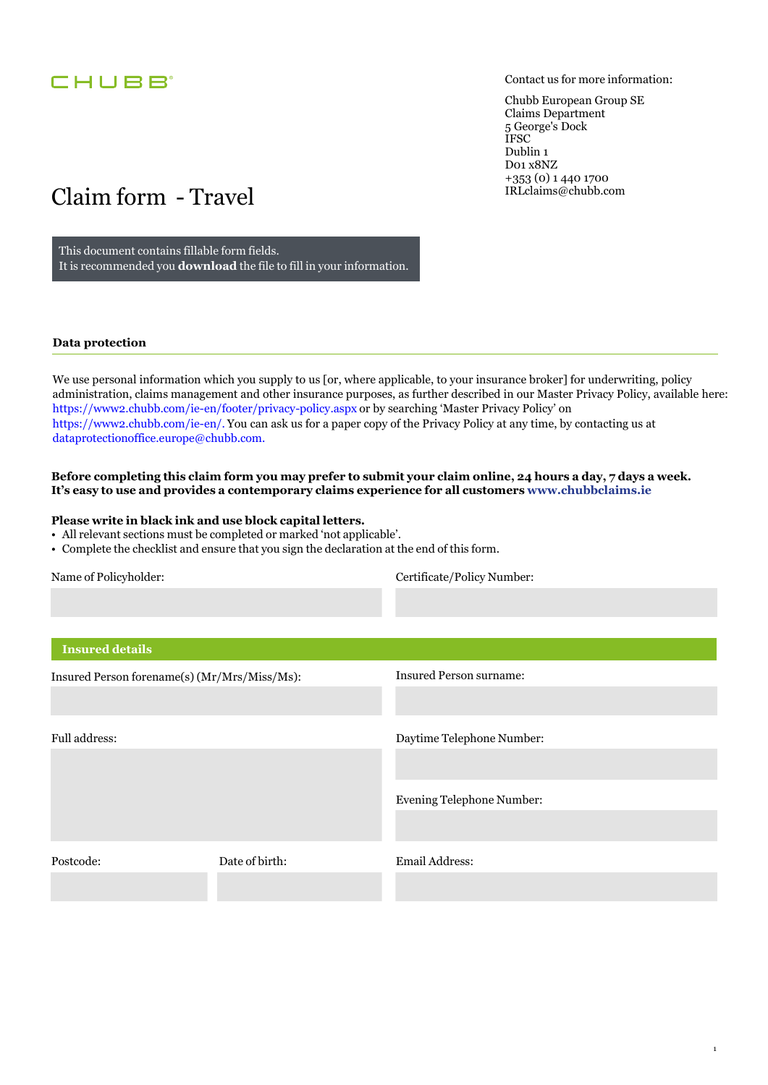

Contact us for more information:

1

Chubb European Group SE Claims Department 5 George's Dock IFSC Dublin 1 D01 x8NZ +353 (0) 1 440 1700 [IRLclaims@chubb.com](mailto:IRLclaims@chubb.com)

# Claim form - Travel

This document contains fillable form fields. It is recommended you **download** the file to fill in your information.

#### **Data protection**

We use personal information which you supply to us [or, where applicable, to your insurance broker] for underwriting, policy administration, claims management and other insurance purposes, as further described in our Master Privacy Policy, available here: https://www2.chubb.com/ie[-en/footer/privacy-policy.aspx](https://www2.chubb.com/ie-en/footer/privacy-policy.aspx) or by searching 'Master Privacy Policy' on [https://www2.chubb.com/](https://www2.chubb.com/ie-en)ie-en/. You can ask us for a paper copy of the Privacy Policy at any time, by contacting us at [dataprotectionoffice.europe@chubb.com](mailto:dataprotectionoffice.europe@chubb.com).

#### **Before completing this claim form you may prefer to submit your claim online, 24 hours a day, 7 days a week. It's easy to use and provides a contemporary claims experience for all customers<www.chubbclaims.ie>**

#### **Please write in black ink and use block capital letters.**

- All relevant sections must be completed or marked 'not applicable'.
- Complete the checklist and ensure that you sign the declaration at the end of this form.

Certificate/Policy Number:

| <b>Insured details</b>                       |                |                                |
|----------------------------------------------|----------------|--------------------------------|
| Insured Person forename(s) (Mr/Mrs/Miss/Ms): |                | <b>Insured Person surname:</b> |
| Full address:                                |                | Daytime Telephone Number:      |
|                                              |                | Evening Telephone Number:      |
| Postcode:                                    | Date of birth: | Email Address:                 |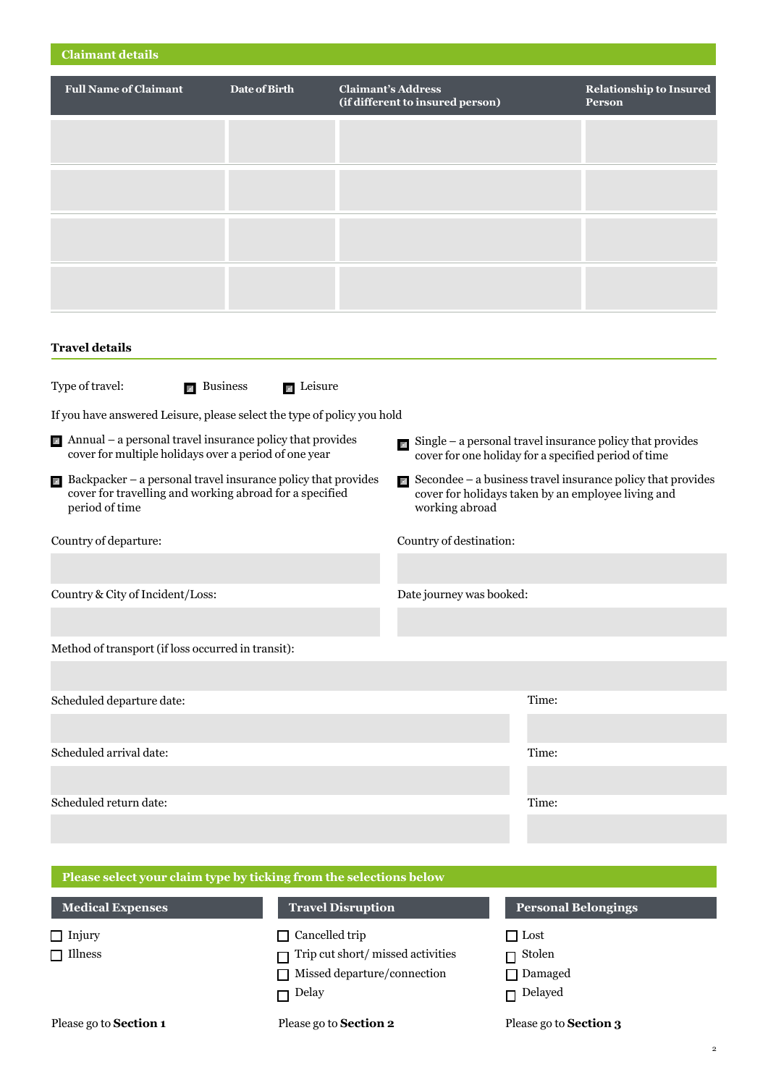| <b>Claimant details</b>                                                                                                                                   |                 |                           |                                                                                                                                  |       |                                                               |
|-----------------------------------------------------------------------------------------------------------------------------------------------------------|-----------------|---------------------------|----------------------------------------------------------------------------------------------------------------------------------|-------|---------------------------------------------------------------|
| <b>Full Name of Claimant</b>                                                                                                                              | Date of Birth   | <b>Claimant's Address</b> | (if different to insured person)                                                                                                 |       | <b>Relationship to Insured</b><br><b>Person</b>               |
|                                                                                                                                                           |                 |                           |                                                                                                                                  |       |                                                               |
|                                                                                                                                                           |                 |                           |                                                                                                                                  |       |                                                               |
|                                                                                                                                                           |                 |                           |                                                                                                                                  |       |                                                               |
|                                                                                                                                                           |                 |                           |                                                                                                                                  |       |                                                               |
| <b>Travel details</b>                                                                                                                                     |                 |                           |                                                                                                                                  |       |                                                               |
| Type of travel:<br>$\blacksquare$ Business                                                                                                                | <b>Exercise</b> |                           |                                                                                                                                  |       |                                                               |
| If you have answered Leisure, please select the type of policy you hold                                                                                   |                 |                           |                                                                                                                                  |       |                                                               |
| $\blacksquare$ Annual – a personal travel insurance policy that provides<br>cover for multiple holidays over a period of one year                         |                 |                           | $\blacksquare$ Single – a personal travel insurance policy that provides<br>cover for one holiday for a specified period of time |       |                                                               |
| $\blacksquare$ Backpacker – a personal travel insurance policy that provides<br>cover for travelling and working abroad for a specified<br>period of time |                 |                           | cover for holidays taken by an employee living and<br>working abroad                                                             |       | Secondee $-$ a business travel insurance policy that provides |
| Country of departure:                                                                                                                                     |                 |                           | Country of destination:                                                                                                          |       |                                                               |
|                                                                                                                                                           |                 |                           |                                                                                                                                  |       |                                                               |
| Country & City of Incident/Loss:                                                                                                                          |                 |                           | Date journey was booked:                                                                                                         |       |                                                               |
|                                                                                                                                                           |                 |                           |                                                                                                                                  |       |                                                               |
| Method of transport (if loss occurred in transit):                                                                                                        |                 |                           |                                                                                                                                  |       |                                                               |
|                                                                                                                                                           |                 |                           |                                                                                                                                  |       |                                                               |
| Scheduled departure date:                                                                                                                                 |                 |                           |                                                                                                                                  | Time: |                                                               |
|                                                                                                                                                           |                 |                           |                                                                                                                                  |       |                                                               |
| Scheduled arrival date:                                                                                                                                   |                 |                           |                                                                                                                                  | Time: |                                                               |
| Scheduled return date:                                                                                                                                    |                 |                           |                                                                                                                                  | Time: |                                                               |
|                                                                                                                                                           |                 |                           |                                                                                                                                  |       |                                                               |
|                                                                                                                                                           |                 |                           |                                                                                                                                  |       |                                                               |

| Please select your claim type by ticking from the selections below |                                    |                            |
|--------------------------------------------------------------------|------------------------------------|----------------------------|
| <b>Medical Expenses</b>                                            | <b>Travel Disruption</b>           | <b>Personal Belongings</b> |
| $\Box$ Injury                                                      | $\Box$ Cancelled trip              | $\Box$ Lost                |
| $\Box$ Illness                                                     | Trip cut short/missed activities   | $\Box$ Stolen              |
|                                                                    | $\Box$ Missed departure/connection | $\Box$ Damaged             |
|                                                                    | $\Box$ Delay                       | $\Box$ Delayed             |

Please go to **Section 1** Please go to **Section 2** Please go to **Section 3**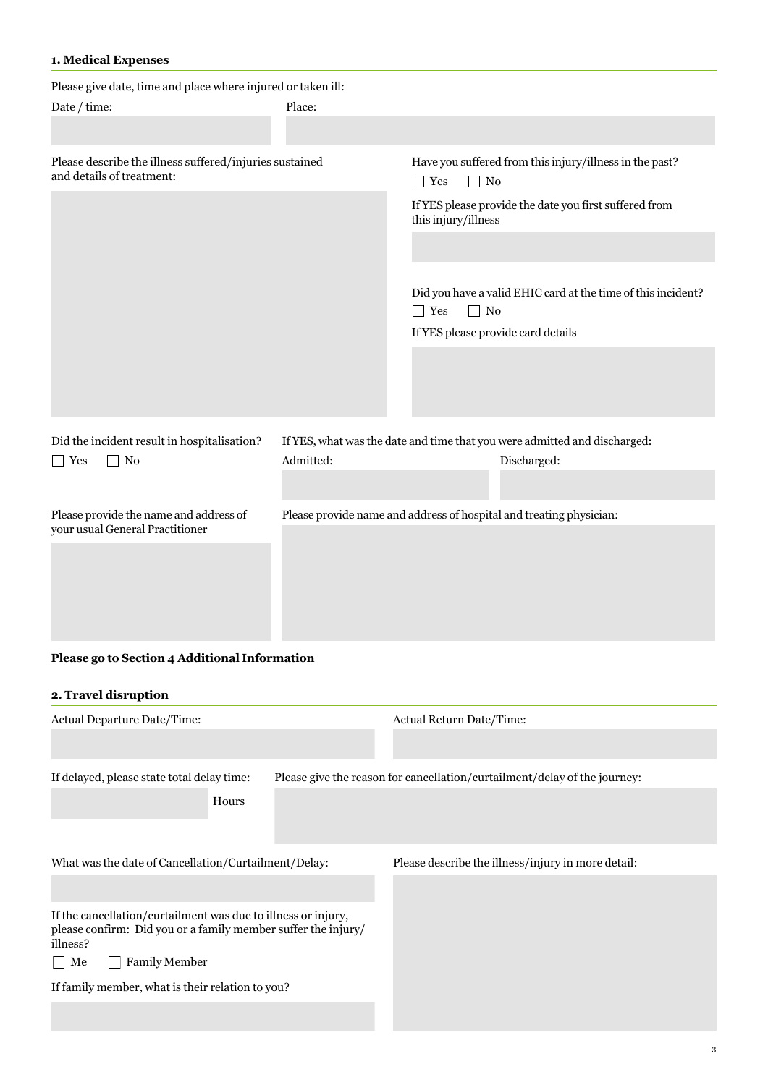## **1. Medical Expenses**

| Please give date, time and place where injured or taken ill:                         |           |                                    |                                                                           |
|--------------------------------------------------------------------------------------|-----------|------------------------------------|---------------------------------------------------------------------------|
| Date / time:                                                                         | Place:    |                                    |                                                                           |
|                                                                                      |           |                                    |                                                                           |
|                                                                                      |           |                                    |                                                                           |
| Please describe the illness suffered/injuries sustained<br>and details of treatment: |           | $\Box$ Yes<br>$\Box$ No            | Have you suffered from this injury/illness in the past?                   |
|                                                                                      |           | this injury/illness                | If YES please provide the date you first suffered from                    |
|                                                                                      |           |                                    |                                                                           |
|                                                                                      |           |                                    | Did you have a valid EHIC card at the time of this incident?              |
|                                                                                      |           | $\Box$ No<br>$\Box$ Yes            |                                                                           |
|                                                                                      |           | If YES please provide card details |                                                                           |
|                                                                                      |           |                                    |                                                                           |
|                                                                                      |           |                                    |                                                                           |
|                                                                                      |           |                                    |                                                                           |
|                                                                                      |           |                                    |                                                                           |
| Did the incident result in hospitalisation?                                          |           |                                    | If YES, what was the date and time that you were admitted and discharged: |
| No<br><b>Yes</b>                                                                     | Admitted: |                                    | Discharged:                                                               |
|                                                                                      |           |                                    |                                                                           |
|                                                                                      |           |                                    |                                                                           |
| Please provide the name and address of                                               |           |                                    | Please provide name and address of hospital and treating physician:       |
| your usual General Practitioner                                                      |           |                                    |                                                                           |
|                                                                                      |           |                                    |                                                                           |
|                                                                                      |           |                                    |                                                                           |
|                                                                                      |           |                                    |                                                                           |
|                                                                                      |           |                                    |                                                                           |

# **Please go to Section 4 Additional Information**

## **2. Travel disruption**

| Actual Departure Date/Time:                                               |  | <b>Actual Return Date/Time:</b>                                           |  |
|---------------------------------------------------------------------------|--|---------------------------------------------------------------------------|--|
|                                                                           |  |                                                                           |  |
| If delayed, please state total delay time:                                |  | Please give the reason for cancellation/curtailment/delay of the journey: |  |
| Hours                                                                     |  |                                                                           |  |
|                                                                           |  |                                                                           |  |
| What was the date of Cancellation/Curtailment/Delay:                      |  | Please describe the illness/injury in more detail:                        |  |
|                                                                           |  |                                                                           |  |
|                                                                           |  |                                                                           |  |
| If the cancellation/curtailment was due to illness or injury,             |  |                                                                           |  |
| please confirm: Did you or a family member suffer the injury/<br>illness? |  |                                                                           |  |
| <b>Family Member</b><br>Me<br>$\overline{\phantom{0}}$                    |  |                                                                           |  |
| If family member, what is their relation to you?                          |  |                                                                           |  |
|                                                                           |  |                                                                           |  |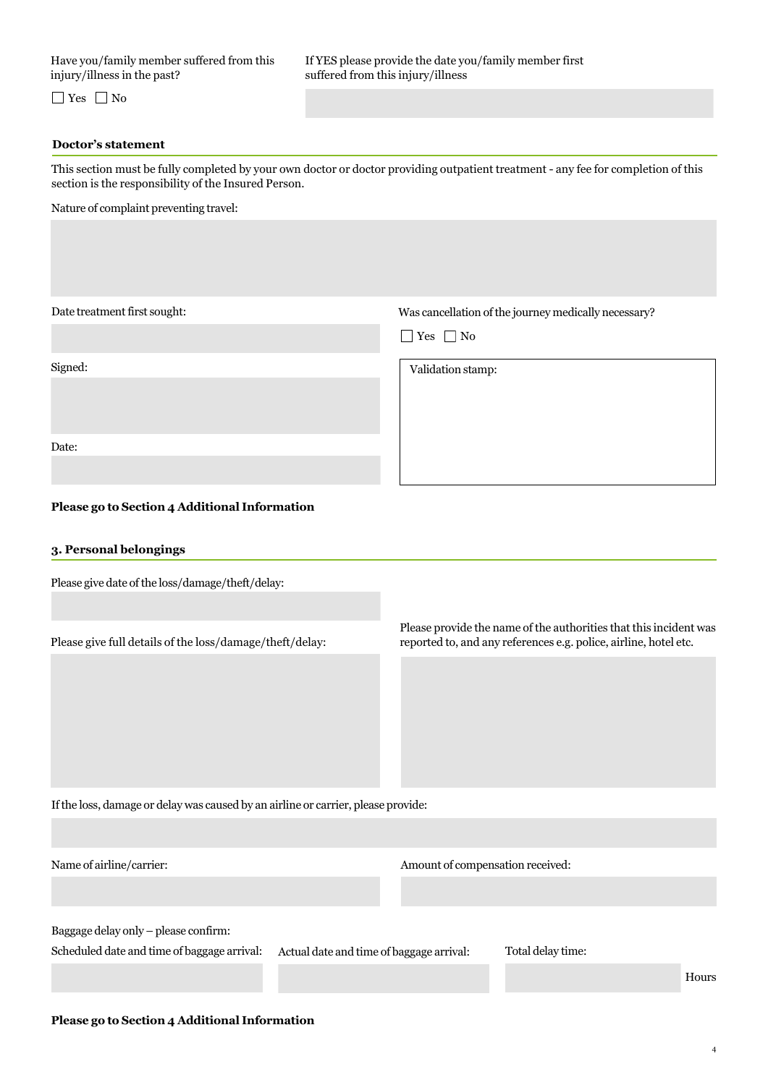injury/illness in the past? suffered from this injury/illness

 $\Box$  Yes  $\Box$  No

#### **Doctor's statement**

This section must be fully completed by your own doctor or doctor providing outpatient treatment - any fee for completion of this section is the responsibility of the Insured Person.

Nature of complaint preventing travel:

Date treatment first sought: Was cancellation of the journey medically necessary?

 $\Box$  Yes  $\Box$  No

Signed: Validation stamp:

Date:

#### **Please go to Section 4 Additional Information**

#### **3. Personal belongings**

Please give date of the loss/damage/theft/delay:

Please provide the name of the authorities that this incident was Please give full details of the loss/damage/theft/delay: reported to, and any references e.g. police, airline, hotel etc.

If the loss, damage or delay was caused by an airline or carrier, please provide:

|  | Name of airline/carrier: |
|--|--------------------------|

Amount of compensation received:

Baggage delay only – please confirm:

Scheduled date and time of baggage arrival: Actual date and time of baggage arrival: Total delay time:

Hours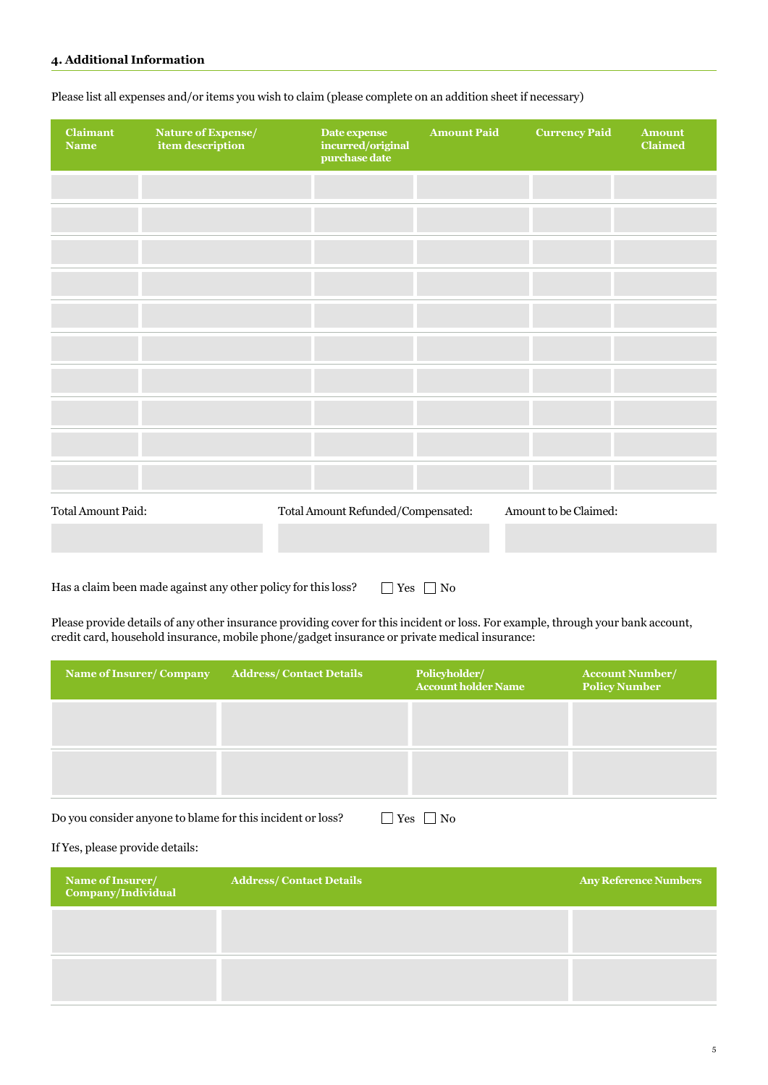| Claimant<br><b>Name</b>   | Nature of Expense/<br>item description | Date expense<br>incurred/original<br>purchase date | <b>Amount Paid</b> | <b>Currency Paid</b>  | <b>Amount</b><br><b>Claimed</b> |
|---------------------------|----------------------------------------|----------------------------------------------------|--------------------|-----------------------|---------------------------------|
|                           |                                        |                                                    |                    |                       |                                 |
|                           |                                        |                                                    |                    |                       |                                 |
|                           |                                        |                                                    |                    |                       |                                 |
|                           |                                        |                                                    |                    |                       |                                 |
|                           |                                        |                                                    |                    |                       |                                 |
|                           |                                        |                                                    |                    |                       |                                 |
|                           |                                        |                                                    |                    |                       |                                 |
|                           |                                        |                                                    |                    |                       |                                 |
|                           |                                        |                                                    |                    |                       |                                 |
|                           |                                        |                                                    |                    |                       |                                 |
| <b>Total Amount Paid:</b> |                                        | Total Amount Refunded/Compensated:                 |                    | Amount to be Claimed: |                                 |

Please list all expenses and/or items you wish to claim (please complete on an addition sheet if necessary)

Has a claim been made against any other policy for this loss?  $\Box$  Yes  $\Box$  No

Please provide details of any other insurance providing cover for this incident or loss. For example, through your bank account, credit card, household insurance, mobile phone/gadget insurance or private medical insurance:

| Name of Insurer/Company | <b>Address/Contact Details</b> | Policyholder/<br><b>Account holder Name</b> | <b>Account Number/</b><br><b>Policy Number</b> |
|-------------------------|--------------------------------|---------------------------------------------|------------------------------------------------|
|                         |                                |                                             |                                                |
|                         |                                |                                             |                                                |

Do you consider anyone to blame for this incident or loss?  $\Box$  Yes  $\Box$  No

#### If Yes, please provide details:

| Name of Insurer/<br>Company/Individual | <b>Address/Contact Details</b> | <b>Any Reference Numbers</b> |
|----------------------------------------|--------------------------------|------------------------------|
|                                        |                                |                              |
|                                        |                                |                              |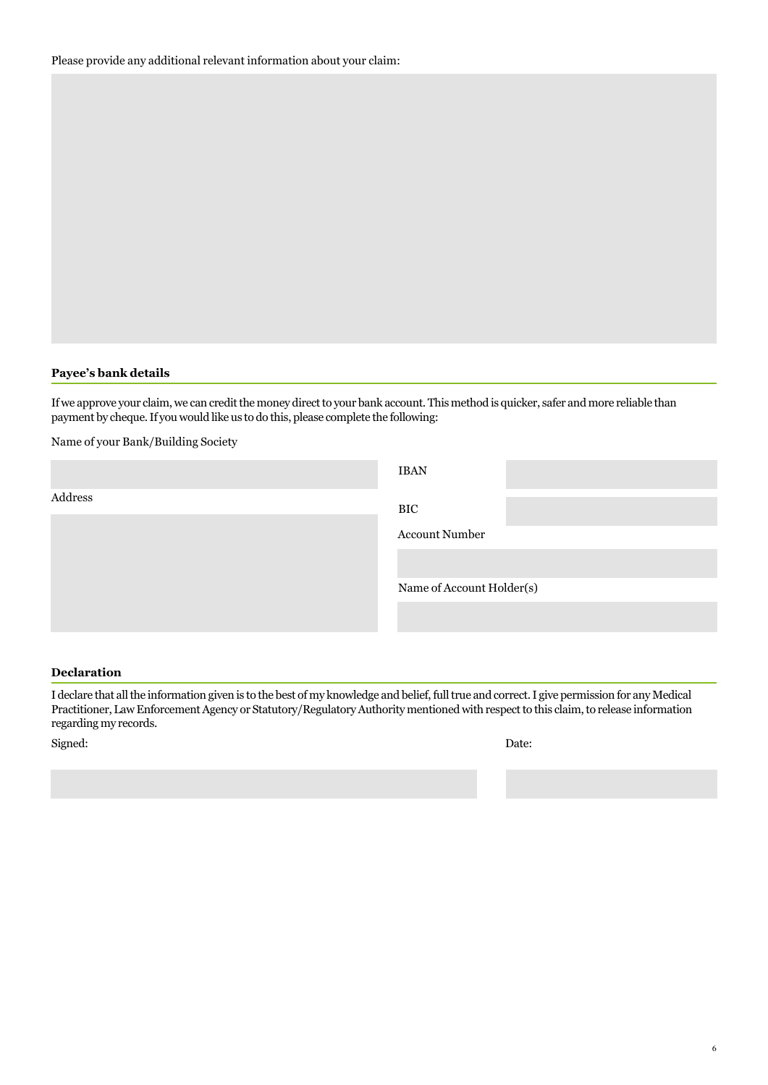#### **Payee's bank details**

If we approve your claim, we can credit the money direct to your bank account. This method is quicker, safer and more reliable than payment by cheque. If you would like us to do this, please complete the following:

Name of your Bank/Building Society

|         | <b>IBAN</b>               |
|---------|---------------------------|
| Address | BIC                       |
|         | <b>Account Number</b>     |
|         |                           |
|         | Name of Account Holder(s) |
|         |                           |

#### **Declaration**

I declare that all the information given is to the best of my knowledge and belief, full true and correct. I give permission for any Medical Practitioner, Law Enforcement Agency or Statutory/Regulatory Authority mentioned with respect to this claim, to release information regarding my records.

Signed: Date: